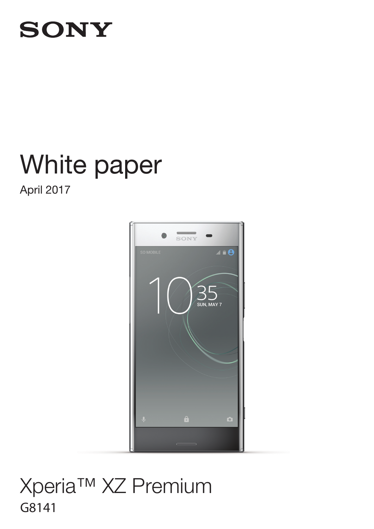## **SONY**

# White paper White paper

April 2017



## G8141 G8141Xperia™ XZ Premium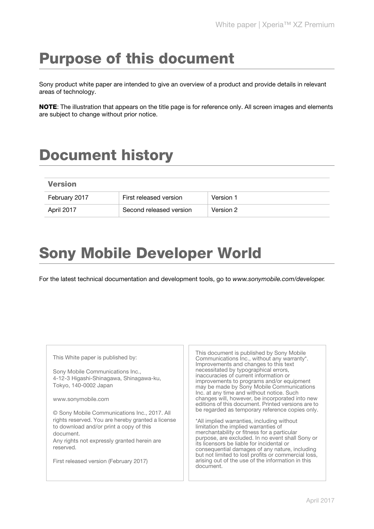## Purpose of this document

Sony product white paper are intended to give an overview of a product and provide details in relevant areas of technology.

NOTE: The illustration that appears on the title page is for reference only. All screen images and elements are subject to change without prior notice.

## Document history

| <b>Version</b> |                         |           |
|----------------|-------------------------|-----------|
| February 2017  | First released version  | Version 1 |
| April 2017     | Second released version | Version 2 |

## Sony Mobile Developer World

For the latest technical documentation and development tools, go to www.sonymobile.com/developer.

| This White paper is published by:<br>Sony Mobile Communications Inc.,<br>4-12-3 Higashi-Shinagawa, Shinagawa-ku,<br>Tokyo, 140-0002 Japan<br>www.sonymobile.com<br>© Sony Mobile Communications Inc., 2017. All  | This document is published by Sony Mobile<br>Communications Inc., without any warranty*.<br>Improvements and changes to this text<br>necessitated by typographical errors,<br>inaccuracies of current information or<br>improvements to programs and/or equipment<br>may be made by Sony Mobile Communications<br>Inc. at any time and without notice. Such<br>changes will, however, be incorporated into new<br>editions of this document. Printed versions are to<br>be regarded as temporary reference copies only. |
|------------------------------------------------------------------------------------------------------------------------------------------------------------------------------------------------------------------|-------------------------------------------------------------------------------------------------------------------------------------------------------------------------------------------------------------------------------------------------------------------------------------------------------------------------------------------------------------------------------------------------------------------------------------------------------------------------------------------------------------------------|
| rights reserved. You are hereby granted a license<br>to download and/or print a copy of this<br>document.<br>Any rights not expressly granted herein are.<br>reserved.<br>First released version (February 2017) | *All implied warranties, including without<br>limitation the implied warranties of<br>merchantability or fitness for a particular<br>purpose, are excluded. In no event shall Sony or<br>its licensors be liable for incidental or<br>consequential damages of any nature, including<br>but not limited to lost profits or commercial loss,<br>arising out of the use of the information in this<br>document.                                                                                                           |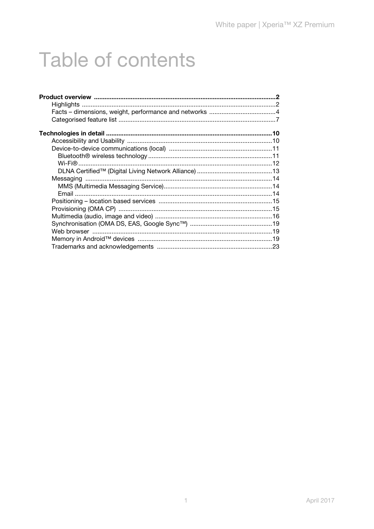## <span id="page-2-0"></span>**Table of contents**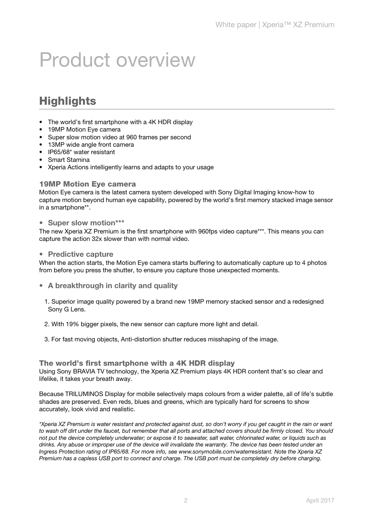## <span id="page-3-0"></span>Product overview

## <span id="page-3-1"></span>**Highlights**

- The world's first smartphone with a 4K HDR display
- 19MP Motion Eye camera
- Super slow motion video at 960 frames per second
- 13MP wide angle front camera
- IP65/68\* water resistant
- Smart Stamina
- Xperia Actions intelligently learns and adapts to your usage

#### 19MP Motion Eye camera

Motion Eye camera is the latest camera system developed with Sony Digital Imaging know-how to capture motion beyond human eye capability, powered by the world's first memory stacked image sensor in a smartphone\*\*.

#### • Super slow motion\*\*\*

The new Xperia XZ Premium is the first smartphone with 960fps video capture\*\*\*. This means you can capture the action 32x slower than with normal video.

#### • Predictive capture

When the action starts, the Motion Eve camera starts buffering to automatically capture up to 4 photos from before you press the shutter, to ensure you capture those unexpected moments.

- A breakthrough in clarity and quality
	- 1. Superior image quality powered by a brand new 19MP memory stacked sensor and a redesigned Sony G Lens.
	- 2. With 19% bigger pixels, the new sensor can capture more light and detail.
	- 3. For fast moving objects, Anti-distortion shutter reduces misshaping of the image.

#### The world's first smartphone with a 4K HDR display

Using Sony BRAVIA TV technology, the Xperia XZ Premium plays 4K HDR content that's so clear and lifelike, it takes your breath away.

Because TRILUMINOS Display for mobile selectively maps colours from a wider palette, all of life's subtle shades are preserved. Even reds, blues and greens, which are typically hard for screens to show accurately, look vivid and realistic.

\*Xperia XZ Premium is water resistant and protected against dust, so don't worry if you get caught in the rain or want to wash off dirt under the faucet, but remember that all ports and attached covers should be firmly closed. You should not put the device completely underwater; or expose it to seawater, salt water, chlorinated water, or liquids such as drinks. Any abuse or improper use of the device will invalidate the warranty. The device has been tested under an Ingress Protection rating of IP65/68. For more info, see www.sonymobile.com/waterresistant. Note the Xperia XZ Premium has a capless USB port to connect and charge. The USB port must be completely dry before charging.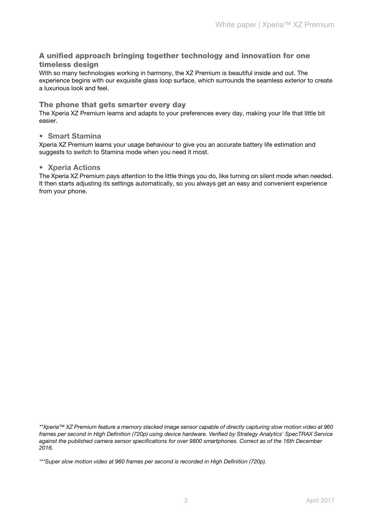#### A unified approach bringing together technology and innovation for one timeless design

With so many technologies working in harmony, the XZ Premium is beautiful inside and out. The experience begins with our exquisite glass loop surface, which surrounds the seamless exterior to create a luxurious look and feel.

#### The phone that gets smarter every day

The Xperia XZ Premium learns and adapts to your preferences every day, making your life that little bit easier.

#### • Smart Stamina

Xperia XZ Premium learns your usage behaviour to give you an accurate battery life estimation and suggests to switch to Stamina mode when you need it most.

#### • Xperia Actions

The Xperia XZ Premium pays attention to the little things you do, like turning on silent mode when needed. It then starts adjusting its settings automatically, so you always get an easy and convenient experience from your phone.

<sup>\*\*</sup>Xperia™ XZ Premium feature a memory stacked image sensor capable of directly capturing slow motion video at 960 frames per second in High Definition (720p) using device hardware. Verified by Strategy Analytics' SpecTRAX Service against the published camera sensor specifications for over 9800 smartphones. Correct as of the 16th December 2016.

<sup>\*\*\*</sup>Super slow motion video at 960 frames per second is recorded in High Definition (720p).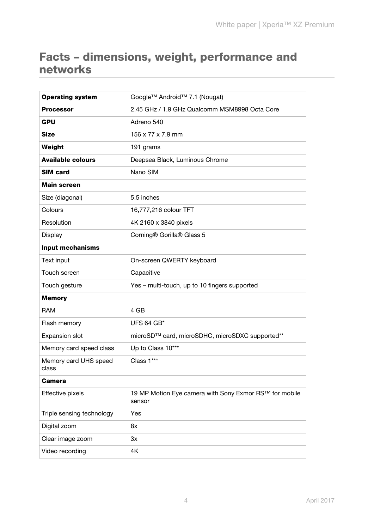## <span id="page-5-0"></span>Facts – dimensions, weight, performance and networks

| <b>Operating system</b>        | Google™ Android™ 7.1 (Nougat)                                    |  |
|--------------------------------|------------------------------------------------------------------|--|
| <b>Processor</b>               | 2.45 GHz / 1.9 GHz Qualcomm MSM8998 Octa Core                    |  |
| <b>GPU</b>                     | Adreno 540                                                       |  |
| <b>Size</b>                    | 156 x 77 x 7.9 mm                                                |  |
| Weight                         | 191 grams                                                        |  |
| <b>Available colours</b>       | Deepsea Black, Luminous Chrome                                   |  |
| <b>SIM card</b>                | Nano SIM                                                         |  |
| <b>Main screen</b>             |                                                                  |  |
| Size (diagonal)                | 5.5 inches                                                       |  |
| Colours                        | 16,777,216 colour TFT                                            |  |
| Resolution                     | 4K 2160 x 3840 pixels                                            |  |
| Display                        | Corning® Gorilla® Glass 5                                        |  |
| <b>Input mechanisms</b>        |                                                                  |  |
| Text input                     | On-screen QWERTY keyboard                                        |  |
| Touch screen                   | Capacitive                                                       |  |
| Touch gesture                  | Yes - multi-touch, up to 10 fingers supported                    |  |
| <b>Memory</b>                  |                                                                  |  |
| <b>RAM</b>                     | 4 GB                                                             |  |
| Flash memory                   | <b>UFS 64 GB*</b>                                                |  |
| <b>Expansion slot</b>          | microSD™ card, microSDHC, microSDXC supported**                  |  |
| Memory card speed class        | Up to Class 10***                                                |  |
| Memory card UHS speed<br>class | Class 1***                                                       |  |
| <b>Camera</b>                  |                                                                  |  |
| <b>Effective pixels</b>        | 19 MP Motion Eye camera with Sony Exmor RS™ for mobile<br>sensor |  |
| Triple sensing technology      | Yes                                                              |  |
| Digital zoom                   | 8x                                                               |  |
| Clear image zoom               | 3x                                                               |  |
| Video recording                | 4K                                                               |  |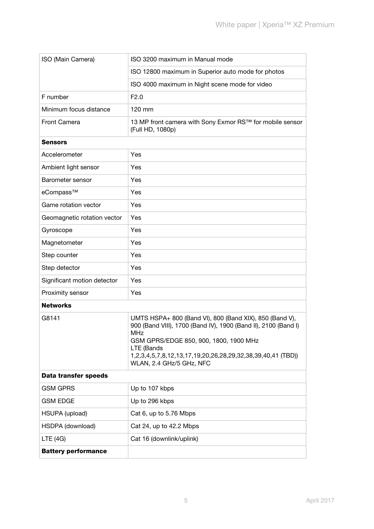| ISO (Main Camera)           | ISO 3200 maximum in Manual mode                                                                                                                                                                                                                                                            |  |
|-----------------------------|--------------------------------------------------------------------------------------------------------------------------------------------------------------------------------------------------------------------------------------------------------------------------------------------|--|
|                             | ISO 12800 maximum in Superior auto mode for photos                                                                                                                                                                                                                                         |  |
|                             | ISO 4000 maximum in Night scene mode for video                                                                                                                                                                                                                                             |  |
| F number                    | F2.0                                                                                                                                                                                                                                                                                       |  |
| Minimum focus distance      | $120 \text{ mm}$                                                                                                                                                                                                                                                                           |  |
| <b>Front Camera</b>         | 13 MP front camera with Sony Exmor RS™ for mobile sensor<br>(Full HD, 1080p)                                                                                                                                                                                                               |  |
| <b>Sensors</b>              |                                                                                                                                                                                                                                                                                            |  |
| Accelerometer               | Yes                                                                                                                                                                                                                                                                                        |  |
| Ambient light sensor        | Yes                                                                                                                                                                                                                                                                                        |  |
| Barometer sensor            | Yes                                                                                                                                                                                                                                                                                        |  |
| eCompass™                   | Yes                                                                                                                                                                                                                                                                                        |  |
| Game rotation vector        | Yes                                                                                                                                                                                                                                                                                        |  |
| Geomagnetic rotation vector | Yes                                                                                                                                                                                                                                                                                        |  |
| Gyroscope                   | Yes                                                                                                                                                                                                                                                                                        |  |
| Magnetometer                | Yes                                                                                                                                                                                                                                                                                        |  |
| Step counter                | Yes                                                                                                                                                                                                                                                                                        |  |
| Step detector               | Yes                                                                                                                                                                                                                                                                                        |  |
| Significant motion detector | Yes                                                                                                                                                                                                                                                                                        |  |
| Proximity sensor            | Yes                                                                                                                                                                                                                                                                                        |  |
| <b>Networks</b>             |                                                                                                                                                                                                                                                                                            |  |
| G8141                       | UMTS HSPA+ 800 (Band VI), 800 (Band XIX), 850 (Band V),<br>900 (Band VIII), 1700 (Band IV), 1900 (Band II), 2100 (Band I)<br><b>MHz</b><br>GSM GPRS/EDGE 850, 900, 1800, 1900 MHz<br>LTE (Bands<br>1,2,3,4,5,7,8,12,13,17,19,20,26,28,29,32,38,39,40,41 (TBD))<br>WLAN, 2.4 GHz/5 GHz, NFC |  |
| Data transfer speeds        |                                                                                                                                                                                                                                                                                            |  |
| <b>GSM GPRS</b>             | Up to 107 kbps                                                                                                                                                                                                                                                                             |  |
| <b>GSM EDGE</b>             | Up to 296 kbps                                                                                                                                                                                                                                                                             |  |
| HSUPA (upload)              | Cat 6, up to 5.76 Mbps                                                                                                                                                                                                                                                                     |  |
| HSDPA (download)            | Cat 24, up to 42.2 Mbps                                                                                                                                                                                                                                                                    |  |
| LTE(4G)                     | Cat 16 (downlink/uplink)                                                                                                                                                                                                                                                                   |  |
| <b>Battery performance</b>  |                                                                                                                                                                                                                                                                                            |  |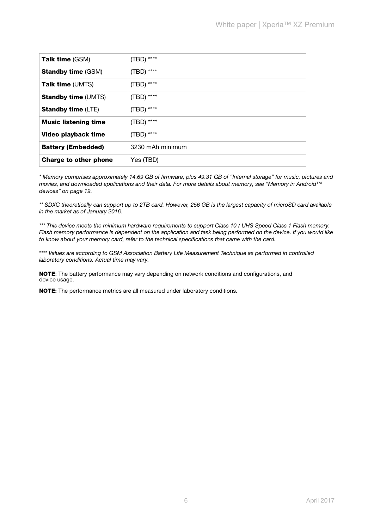| <b>Talk time (GSM)</b>      | $(TBD)$ ****     |
|-----------------------------|------------------|
| <b>Standby time (GSM)</b>   | $(TBD)$ ****     |
| <b>Talk time (UMTS)</b>     | $(TBD)$ ****     |
| <b>Standby time (UMTS)</b>  | $(TBD)$ ****     |
| <b>Standby time (LTE)</b>   | (TBD) ****       |
| <b>Music listening time</b> | (TBD) ****       |
| Video playback time         | (TBD) ****       |
| <b>Battery (Embedded)</b>   | 3230 mAh minimum |
| Charge to other phone       | Yes (TBD)        |

\* Memory comprises approximately 14.69 GB of firmware, plus 49.31 GB of "Internal storage" for music, pictures and movies, and downloaded applications and their data. For more details about memory, see ["Memory in Android™](#page-20-2)  [devices" on page 19](#page-20-2).

\*\* SDXC theoretically can support up to 2TB card. However, 256 GB is the largest capacity of microSD card available in the market as of January 2016.

\*\*\* This device meets the minimum hardware requirements to support Class 10 / UHS Speed Class 1 Flash memory. Flash memory performance is dependent on the application and task being performed on the device. If you would like to know about your memory card, refer to the technical specifications that came with the card.

\*\*\*\* Values are according to GSM Association Battery Life Measurement Technique as performed in controlled laboratory conditions. Actual time may vary.

NOTE: The battery performance may vary depending on network conditions and configurations, and device usage.

NOTE: The performance metrics are all measured under laboratory conditions.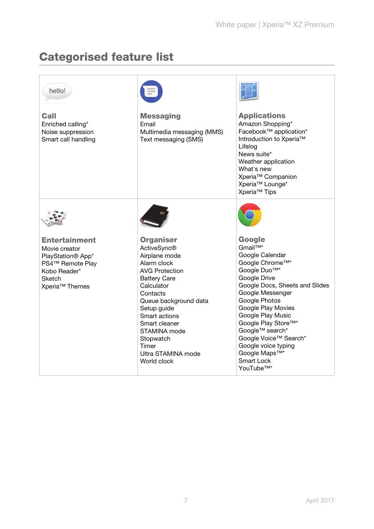## <span id="page-8-0"></span>Categorised feature list

| hello!                                                                                                                                                    |                                                                                                                                                                                                                                                                                                       |                                                                                                                                                                                                                                                                                                                                                                                 |
|-----------------------------------------------------------------------------------------------------------------------------------------------------------|-------------------------------------------------------------------------------------------------------------------------------------------------------------------------------------------------------------------------------------------------------------------------------------------------------|---------------------------------------------------------------------------------------------------------------------------------------------------------------------------------------------------------------------------------------------------------------------------------------------------------------------------------------------------------------------------------|
| <b>Call</b><br>Enriched calling*<br>Noise suppression<br>Smart call handling                                                                              | <b>Messaging</b><br>Email<br>Multimedia messaging (MMS)<br>Text messaging (SMS)                                                                                                                                                                                                                       | <b>Applications</b><br>Amazon Shopping*<br>Facebook™ application*<br>Introduction to Xperia™<br>Lifelog<br>News suite*<br>Weather application<br>What's new<br>Xperia <sup>™</sup> Companion<br>Xperia <sup>™</sup> Lounge*<br>Xperia <sup>™</sup> Tips                                                                                                                         |
|                                                                                                                                                           |                                                                                                                                                                                                                                                                                                       |                                                                                                                                                                                                                                                                                                                                                                                 |
| <b>Entertainment</b><br>Movie creator<br>PlayStation <sup>®</sup> App*<br>PS4™ Remote Play<br>Kobo Reader*<br><b>Sketch</b><br>Xperia <sup>™</sup> Themes | <b>Organiser</b><br><b>ActiveSync®</b><br>Airplane mode<br>Alarm clock<br><b>AVG Protection</b><br><b>Battery Care</b><br>Calculator<br>Contacts<br>Queue background data<br>Setup guide<br>Smart actions<br>Smart cleaner<br>STAMINA mode<br>Stopwatch<br>Timer<br>Ultra STAMINA mode<br>World clock | Google<br>Gmail <sup>TM*</sup><br>Google Calendar<br>Google Chrome™*<br>Google Duo™*<br>Google Drive<br>Google Docs, Sheets and Slides<br>Google Messenger<br>Google Photos<br>Google Play Movies<br>Google Play Music<br>Google Play Store™*<br>Google™ search*<br>Google Voice™ Search*<br>Google voice typing<br>Google Maps™*<br><b>Smart Lock</b><br>YouTube <sup>™*</sup> |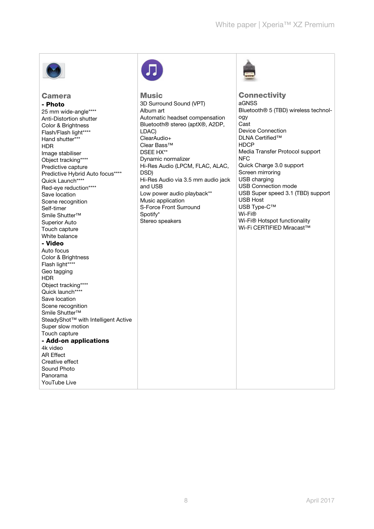

#### Camera - Photo

25 mm wide-angle\*\*\*\* Anti-Distortion shutter Color & Brightness Flash/Flash light\*\*\*\* Hand shutter\*\*\* HDR Image stabiliser Object tracking\*\*\*\* Predictive capture Predictive Hybrid Auto focus\*\*\*\* Quick Launch\*\*\*\* Red-eye reduction\*\*\*\* Save location Scene recognition Self-timer Smile Shutter™ Superior Auto Touch capture White balance - Video Auto focus Color & Brightness Flash light\*\*\*\* Geo tagging HDR Object tracking\*\*\*\* Quick launch\*\*\*\* Save location Scene recognition Smile Shutter™ SteadyShot<sup>™</sup> with Intelligent Active Super slow motion Touch capture - Add-on applications 4k video AR Effect Creative effect Sound Photo Panorama YouTube Live



**Music** 3D Surround Sound (VPT) Album art Automatic headset compensation Bluetooth® stereo (aptX®, A2DP, LDAC) ClearAudio+ Clear Bass™ DSEE HX\*\* Dynamic normalizer Hi-Res Audio (LPCM, FLAC, ALAC, DSD) Hi-Res Audio via 3.5 mm audio jack and USB Low power audio playback\*\* Music application S-Force Front Surround Spotify\* Stereo speakers



**Connectivity** aGNSS Bluetooth® 5 (TBD) wireless technology Cast Device Connection DLNA Certified™ **HDCP** Media Transfer Protocol support NFC Quick Charge 3.0 support Screen mirroring USB charging USB Connection mode USB Super speed 3.1 (TBD) support USB Host USB Type-C™ Wi-Fi® Wi-Fi® Hotspot functionality Wi-Fi CERTIFIED Miracast™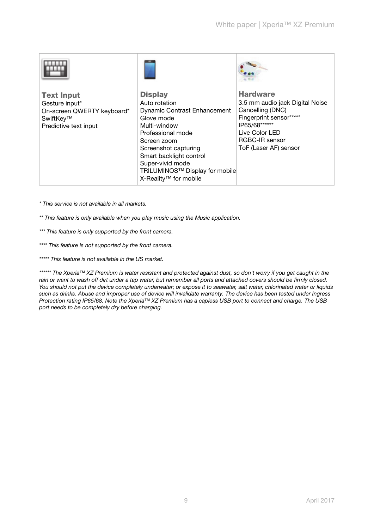| <b>Text Input</b>          | <b>Display</b>                      | <b>Hardware</b>                 |
|----------------------------|-------------------------------------|---------------------------------|
| Gesture input*             | Auto rotation                       | 3.5 mm audio jack Digital Noise |
| On-screen QWERTY keyboard* | <b>Dynamic Contrast Enhancement</b> | Cancelling (DNC)                |
| SwiftKey™                  | Glove mode                          | Fingerprint sensor*****         |
| Predictive text input      | Multi-window                        | IP65/68******                   |
|                            | Professional mode                   | Live Color LED                  |
|                            | Screen zoom                         | RGBC-IR sensor                  |
|                            | Screenshot capturing                | ToF (Laser AF) sensor           |
|                            | Smart backlight control             |                                 |
|                            | Super-vivid mode                    |                                 |
|                            | TRILUMINOS™ Display for mobile      |                                 |
|                            | X-Reality <sup>™</sup> for mobile   |                                 |

\* This service is not available in all markets.

- \*\* This feature is only available when you play music using the Music application.
- \*\*\* This feature is only supported by the front camera.
- \*\*\*\* This feature is not supported by the front camera.

\*\*\*\*\* This feature is not available in the US market.

\*\*\*\*\*\* The Xperia™ XZ Premium is water resistant and protected against dust, so don't worry if you get caught in the rain or want to wash off dirt under a tap water, but remember all ports and attached covers should be firmly closed. You should not put the device completely underwater; or expose it to seawater, salt water, chlorinated water or liquids such as drinks. Abuse and improper use of device will invalidate warranty. The device has been tested under Ingress Protection rating IP65/68. Note the Xperia™ XZ Premium has a capless USB port to connect and charge. The USB port needs to be completely dry before charging.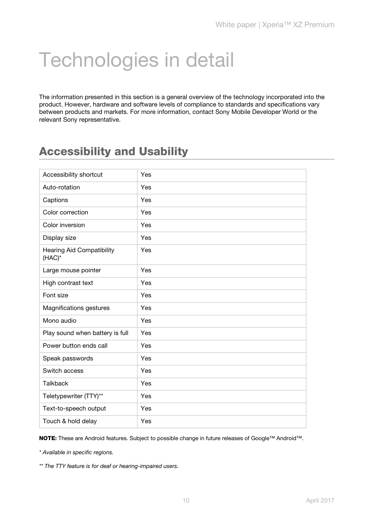## <span id="page-11-0"></span>Technologies in detail

The information presented in this section is a general overview of the technology incorporated into the product. However, hardware and software levels of compliance to standards and specifications vary between products and markets. For more information, contact Sony Mobile Developer World or the relevant Sony representative.

## <span id="page-11-1"></span>Accessibility and Usability

| Accessibility shortcut                     | Yes |
|--------------------------------------------|-----|
| Auto-rotation                              | Yes |
| Captions                                   | Yes |
| Color correction                           | Yes |
| Color inversion                            | Yes |
| Display size                               | Yes |
| <b>Hearing Aid Compatibility</b><br>(HAC)* | Yes |
| Large mouse pointer                        | Yes |
| High contrast text                         | Yes |
| Font size                                  | Yes |
| Magnifications gestures                    | Yes |
| Mono audio                                 | Yes |
| Play sound when battery is full            | Yes |
| Power button ends call                     | Yes |
| Speak passwords                            | Yes |
| Switch access                              | Yes |
| <b>Talkback</b>                            | Yes |
| Teletypewriter (TTY)**                     | Yes |
| Text-to-speech output                      | Yes |
| Touch & hold delay                         | Yes |

NOTE: These are Android features. Subject to possible change in future releases of Google™ Android™.

\* Available in specific regions.

\*\* The TTY feature is for deaf or hearing-impaired users.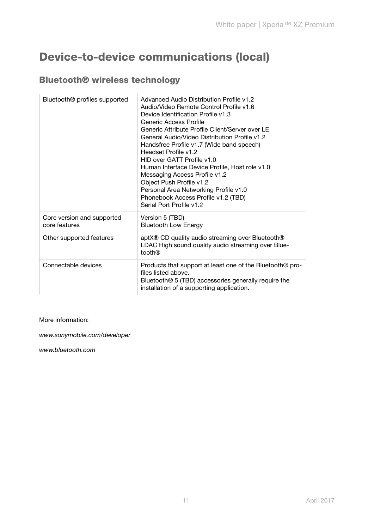## <span id="page-12-0"></span>Device-to-device communications (local)

#### <span id="page-12-1"></span>Bluetooth® wireless technology

| Bluetooth <sup>®</sup> profiles supported   | Advanced Audio Distribution Profile v1.2<br>Audio/Video Remote Control Profile v1.6<br>Device Identification Profile v1.3<br>Generic Access Profile<br>Generic Attribute Profile Client/Server over LE<br>General Audio/Video Distribution Profile v1.2<br>Handsfree Profile v1.7 (Wide band speech)<br>Headset Profile v1.2<br>HID over GATT Profile v1.0<br>Human Interface Device Profile, Host role v1.0<br>Messaging Access Profile v1.2<br>Object Push Profile v1.2<br>Personal Area Networking Profile v1.0<br>Phonebook Access Profile v1.2 (TBD)<br>Serial Port Profile v1.2 |
|---------------------------------------------|---------------------------------------------------------------------------------------------------------------------------------------------------------------------------------------------------------------------------------------------------------------------------------------------------------------------------------------------------------------------------------------------------------------------------------------------------------------------------------------------------------------------------------------------------------------------------------------|
| Core version and supported<br>core features | Version 5 (TBD)<br><b>Bluetooth Low Energy</b>                                                                                                                                                                                                                                                                                                                                                                                                                                                                                                                                        |
| Other supported features                    | aptX® CD quality audio streaming over Bluetooth®<br>LDAC High sound quality audio streaming over Blue-<br>tooth®                                                                                                                                                                                                                                                                                                                                                                                                                                                                      |
| Connectable devices                         | Products that support at least one of the Bluetooth® pro-<br>files listed above.<br>Bluetooth <sup>®</sup> 5 (TBD) accessories generally require the<br>installation of a supporting application.                                                                                                                                                                                                                                                                                                                                                                                     |

#### More information:

www.sonymobile.com/developer

www.bluetooth.com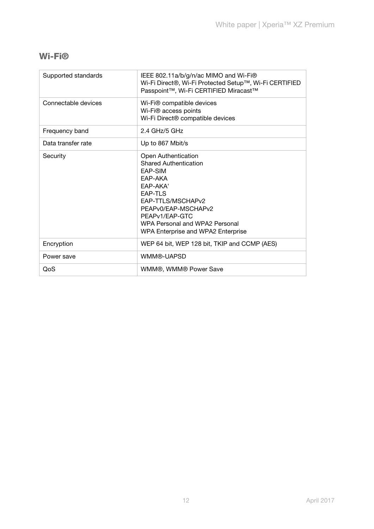#### <span id="page-13-0"></span>Wi-Fi®

| Supported standards | IEEE 802.11a/b/g/n/ac MIMO and Wi-Fi®<br>Wi-Fi Direct®, Wi-Fi Protected Setup™, Wi-Fi CERTIFIED<br>Passpoint™, Wi-Fi CERTIFIED Miracast™                                                                                                                   |
|---------------------|------------------------------------------------------------------------------------------------------------------------------------------------------------------------------------------------------------------------------------------------------------|
| Connectable devices | Wi-Fi® compatible devices<br>Wi-Fi® access points<br>Wi-Fi Direct® compatible devices                                                                                                                                                                      |
| Frequency band      | $2.4$ GHz/5 GHz                                                                                                                                                                                                                                            |
| Data transfer rate  | Up to 867 Mbit/s                                                                                                                                                                                                                                           |
| Security            | Open Authentication<br><b>Shared Authentication</b><br>EAP-SIM<br>EAP-AKA<br>EAP-AKA'<br><b>EAP-TLS</b><br>EAP-TTLS/MSCHAPv2<br>PEAPv0/EAP-MSCHAPv2<br>PEAP <sub>v1</sub> /EAP-GTC<br>WPA Personal and WPA2 Personal<br>WPA Enterprise and WPA2 Enterprise |
| Encryption          | WEP 64 bit, WEP 128 bit, TKIP and CCMP (AES)                                                                                                                                                                                                               |
| Power save          | WMM®-UAPSD                                                                                                                                                                                                                                                 |
| QoS                 | WMM®, WMM® Power Save                                                                                                                                                                                                                                      |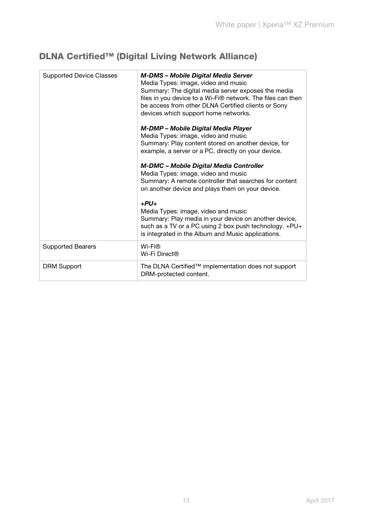### <span id="page-14-0"></span>DLNA Certified™ (Digital Living Network Alliance)

| <b>Supported Device Classes</b> | M-DMS - Mobile Digital Media Server<br>Media Types: image, video and music<br>Summary: The digital media server exposes the media<br>files in you device to a Wi-Fi® network. The files can then<br>be access from other DLNA Certified clients or Sony<br>devices which support home networks. |
|---------------------------------|-------------------------------------------------------------------------------------------------------------------------------------------------------------------------------------------------------------------------------------------------------------------------------------------------|
|                                 | M-DMP - Mobile Digital Media Player<br>Media Types: image, video and music<br>Summary: Play content stored on another device, for<br>example, a server or a PC, directly on your device.                                                                                                        |
|                                 | <b>M-DMC - Mobile Digital Media Controller</b><br>Media Types: image, video and music<br>Summary: A remote controller that searches for content<br>on another device and plays them on your device.                                                                                             |
|                                 | $+PU+$<br>Media Types: image, video and music<br>Summary: Play media in your device on another device,<br>such as a TV or a PC using 2 box push technology. +PU+<br>is integrated in the Album and Music applications.                                                                          |
| <b>Supported Bearers</b>        | Wi-Fi®<br>Wi-Fi Direct®                                                                                                                                                                                                                                                                         |
| <b>DRM Support</b>              | The DLNA Certified™ implementation does not support<br>DRM-protected content.                                                                                                                                                                                                                   |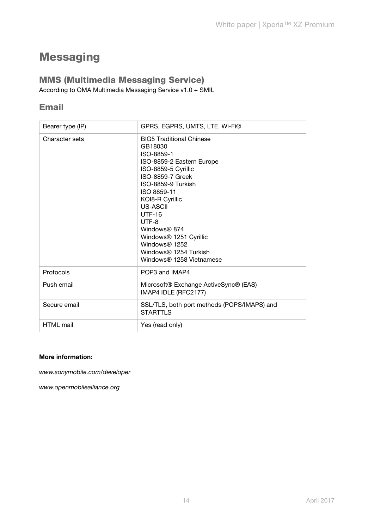## <span id="page-15-0"></span>**Messaging**

#### <span id="page-15-1"></span>MMS (Multimedia Messaging Service)

According to OMA Multimedia Messaging Service v1.0 + SMIL

#### <span id="page-15-2"></span>Email

| Bearer type (IP) | GPRS, EGPRS, UMTS, LTE, Wi-Fi®                                                                                                                                                                                                                                                                                                                                                |  |
|------------------|-------------------------------------------------------------------------------------------------------------------------------------------------------------------------------------------------------------------------------------------------------------------------------------------------------------------------------------------------------------------------------|--|
| Character sets   | <b>BIG5 Traditional Chinese</b><br>GB18030<br>ISO-8859-1<br>ISO-8859-2 Eastern Europe<br>ISO-8859-5 Cyrillic<br>ISO-8859-7 Greek<br>ISO-8859-9 Turkish<br>ISO 8859-11<br>KOI8-R Cyrillic<br>US-ASCII<br>$UTF-16$<br>UTF-8<br>Windows <sup>®</sup> 874<br>Windows <sup>®</sup> 1251 Cyrillic<br>Windows <sup>®</sup> 1252<br>Windows® 1254 Turkish<br>Windows® 1258 Vietnamese |  |
| Protocols        | POP3 and IMAP4                                                                                                                                                                                                                                                                                                                                                                |  |
| Push email       | Microsoft® Exchange ActiveSync® (EAS)<br>IMAP4 IDLE (RFC2177)                                                                                                                                                                                                                                                                                                                 |  |
| Secure email     | SSL/TLS, both port methods (POPS/IMAPS) and<br><b>STARTTLS</b>                                                                                                                                                                                                                                                                                                                |  |
| <b>HTML</b> mail | Yes (read only)                                                                                                                                                                                                                                                                                                                                                               |  |

#### More information:

www.sonymobile.com/developer

www.openmobilealliance.org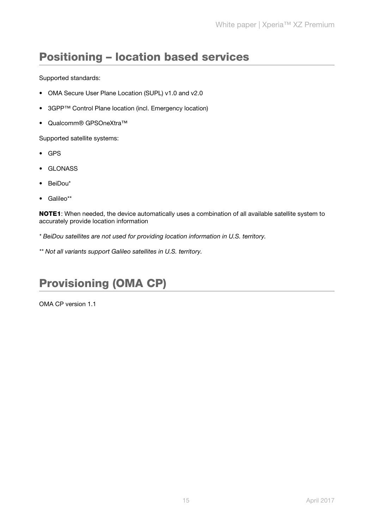### <span id="page-16-0"></span>Positioning – location based services

Supported standards:

- OMA Secure User Plane Location (SUPL) v1.0 and v2.0
- 3GPP™ Control Plane location (incl. Emergency location)
- Qualcomm® GPSOneXtra™

Supported satellite systems:

- GPS
- GLONASS
- BeiDou\*
- Galileo\*\*

NOTE1: When needed, the device automatically uses a combination of all available satellite system to accurately provide location information

- \* BeiDou satellites are not used for providing location information in U.S. territory.
- \*\* Not all variants support Galileo satellites in U.S. territory.

## <span id="page-16-1"></span>Provisioning (OMA CP)

OMA CP version 1.1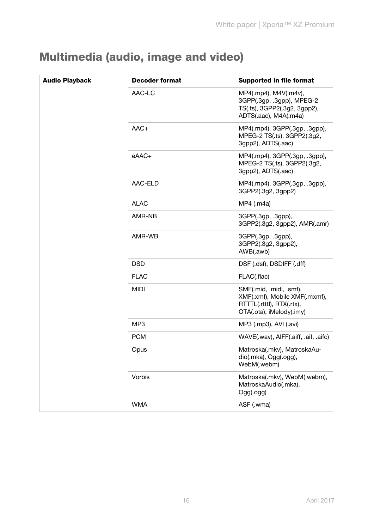## <span id="page-17-0"></span>Multimedia (audio, image and video)

| <b>Audio Playback</b> | <b>Decoder format</b> | <b>Supported in file format</b>                                                                                   |
|-----------------------|-----------------------|-------------------------------------------------------------------------------------------------------------------|
|                       | AAC-LC                | MP4(.mp4), M4V(.m4v),<br>3GPP(.3gp, .3gpp), MPEG-2<br>TS(.ts), 3GPP2(.3g2, 3gpp2),<br>ADTS(.aac), M4A(.m4a)       |
|                       | $AAC+$                | MP4(.mp4), 3GPP(.3gp, .3gpp),<br>MPEG-2 TS(.ts), 3GPP2(.3g2,<br>3gpp2), ADTS(.aac)                                |
|                       | eAAC+                 | MP4(.mp4), 3GPP(.3gp, .3gpp),<br>MPEG-2 TS(.ts), 3GPP2(.3g2,<br>3gpp2), ADTS(.aac)                                |
|                       | AAC-ELD               | MP4(.mp4), 3GPP(.3gp, .3gpp),<br>3GPP2(.3g2, 3gpp2)                                                               |
|                       | <b>ALAC</b>           | MP4 (.m4a)                                                                                                        |
|                       | AMR-NB                | 3GPP(.3gp, .3gpp),<br>3GPP2(.3g2, 3gpp2), AMR(.amr)                                                               |
|                       | AMR-WB                | 3GPP(.3gp, .3gpp),<br>3GPP2(.3g2, 3gpp2),<br>AWB(.awb)                                                            |
|                       | <b>DSD</b>            | DSF (.dsf), DSDIFF (.dff)                                                                                         |
|                       | <b>FLAC</b>           | FLAC(.flac)                                                                                                       |
|                       | <b>MIDI</b>           | SMF(.mid, .midi, .smf),<br>XMF(.xmf), Mobile XMF(.mxmf),<br>RTTTL(.rtttl), RTX(.rtx),<br>OTA(.ota), iMelody(.imy) |
|                       | MP <sub>3</sub>       | MP3 (.mp3), AVI (.avi)                                                                                            |
|                       | <b>PCM</b>            | WAVE(.wav), AIFF(.aiff, .aif, .aifc)                                                                              |
|                       | Opus                  | Matroska(.mkv), MatroskaAu-<br>dio(.mka), Ogg(.ogg),<br>WebM(.webm)                                               |
|                       | Vorbis                | Matroska(.mkv), WebM(.webm),<br>MatroskaAudio(.mka),<br>Ogg(.ogg)                                                 |
|                       | <b>WMA</b>            | ASF (.wma)                                                                                                        |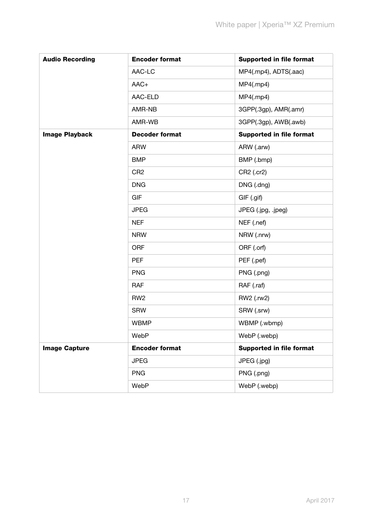| <b>Audio Recording</b> | <b>Encoder format</b> | <b>Supported in file format</b> |
|------------------------|-----------------------|---------------------------------|
|                        | AAC-LC                | MP4(.mp4), ADTS(.aac)           |
|                        | $AAC+$                | MP4(mp4)                        |
|                        | AAC-ELD               | MP4(mp4)                        |
|                        | AMR-NB                | 3GPP(.3gp), AMR(.amr)           |
|                        | AMR-WB                | 3GPP(.3gp), AWB(.awb)           |
| <b>Image Playback</b>  | <b>Decoder format</b> | <b>Supported in file format</b> |
|                        | <b>ARW</b>            | ARW (.arw)                      |
|                        | <b>BMP</b>            | BMP (.bmp)                      |
|                        | CR <sub>2</sub>       | CR2 (.cr2)                      |
|                        | <b>DNG</b>            | DNG (.dng)                      |
|                        | <b>GIF</b>            | GIF (.gif)                      |
|                        | <b>JPEG</b>           | JPEG (.jpg, .jpeg)              |
|                        | <b>NEF</b>            | NEF (.nef)                      |
|                        | <b>NRW</b>            | NRW (.nrw)                      |
|                        | <b>ORF</b>            | ORF (.orf)                      |
|                        | <b>PEF</b>            | PEF (.pef)                      |
|                        | <b>PNG</b>            | PNG (.png)                      |
|                        | <b>RAF</b>            | RAF (.raf)                      |
|                        | RW <sub>2</sub>       | RW2 (.rw2)                      |
|                        | <b>SRW</b>            | SRW (.srw)                      |
|                        | <b>WBMP</b>           | WBMP (.wbmp)                    |
|                        | WebP                  | WebP (.webp)                    |
| <b>Image Capture</b>   | <b>Encoder format</b> | <b>Supported in file format</b> |
|                        | <b>JPEG</b>           | JPEG (.jpg)                     |
|                        | <b>PNG</b>            | PNG (.png)                      |
|                        | WebP                  | WebP (.webp)                    |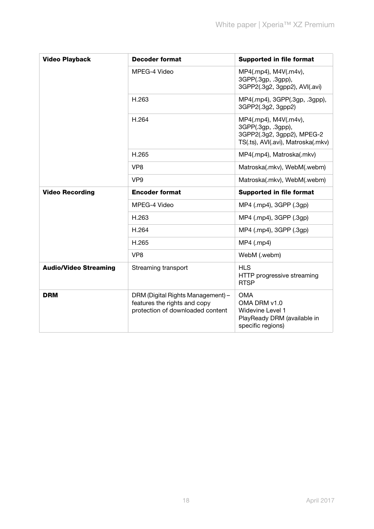| <b>Video Playback</b>        | <b>Decoder format</b>                                                                                 | <b>Supported in file format</b>                                                                                 |
|------------------------------|-------------------------------------------------------------------------------------------------------|-----------------------------------------------------------------------------------------------------------------|
|                              | MPEG-4 Video                                                                                          | MP4(.mp4), M4V(.m4v),<br>3GPP(.3gp, .3gpp),<br>3GPP2(.3g2, 3gpp2), AVI(.avi)                                    |
|                              | H.263                                                                                                 | MP4(.mp4), 3GPP(.3gp, .3gpp),<br>3GPP2(.3g2, 3gpp2)                                                             |
|                              | H.264                                                                                                 | MP4(.mp4), M4V(.m4v),<br>3GPP(.3gp, .3gpp),<br>3GPP2(.3g2, 3gpp2), MPEG-2<br>TS(.ts), AVI(.avi), Matroska(.mkv) |
|                              | H.265                                                                                                 | MP4(.mp4), Matroska(.mkv)                                                                                       |
|                              | VP <sub>8</sub>                                                                                       | Matroska(.mkv), WebM(.webm)                                                                                     |
|                              | VP <sub>9</sub>                                                                                       | Matroska(.mkv), WebM(.webm)                                                                                     |
| <b>Video Recording</b>       | <b>Encoder format</b>                                                                                 | <b>Supported in file format</b>                                                                                 |
|                              | MPEG-4 Video                                                                                          | MP4 (.mp4), 3GPP (.3gp)                                                                                         |
|                              | H.263                                                                                                 | MP4 (.mp4), 3GPP (.3gp)                                                                                         |
|                              | H.264                                                                                                 | MP4 (.mp4), 3GPP (.3gp)                                                                                         |
|                              | H.265                                                                                                 | $MP4$ (.mp4)                                                                                                    |
|                              | VP <sub>8</sub>                                                                                       | WebM (.webm)                                                                                                    |
| <b>Audio/Video Streaming</b> | Streaming transport                                                                                   | <b>HLS</b><br>HTTP progressive streaming<br><b>RTSP</b>                                                         |
| <b>DRM</b>                   | DRM (Digital Rights Management) -<br>features the rights and copy<br>protection of downloaded content | <b>OMA</b><br>OMA DRM v1.0<br>Widevine Level 1<br>PlayReady DRM (available in<br>specific regions)              |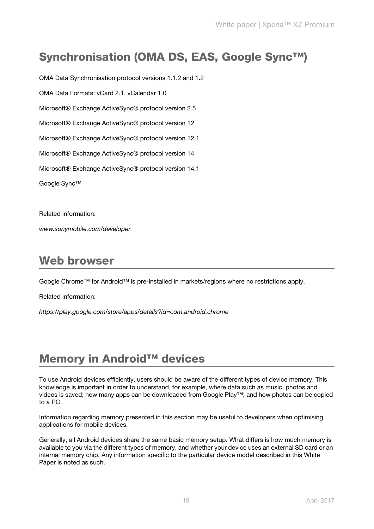## <span id="page-20-0"></span>Synchronisation (OMA DS, EAS, Google Sync™)

OMA Data Synchronisation protocol versions 1.1.2 and 1.2 OMA Data Formats: vCard 2.1, vCalendar 1.0 Microsoft® Exchange ActiveSync® protocol version 2.5 Microsoft® Exchange ActiveSync® protocol version 12 Microsoft® Exchange ActiveSync® protocol version 12.1 Microsoft® Exchange ActiveSync® protocol version 14 Microsoft® Exchange ActiveSync® protocol version 14.1 Google Sync™

Related information:

www.sonymobile.com/developer

### <span id="page-20-1"></span>Web browser

Google Chrome™ for Android™ is pre-installed in markets/regions where no restrictions apply.

Related information:

https://play.google.com/store/apps/details?id=com.android.chrome

## <span id="page-20-2"></span>Memory in Android™ devices

To use Android devices efficiently, users should be aware of the different types of device memory. This knowledge is important in order to understand, for example, where data such as music, photos and videos is saved; how many apps can be downloaded from Google Play™; and how photos can be copied to a PC.

Information regarding memory presented in this section may be useful to developers when optimising applications for mobile devices.

Generally, all Android devices share the same basic memory setup. What differs is how much memory is available to you via the different types of memory, and whether your device uses an external SD card or an internal memory chip. Any information specific to the particular device model described in this White Paper is noted as such.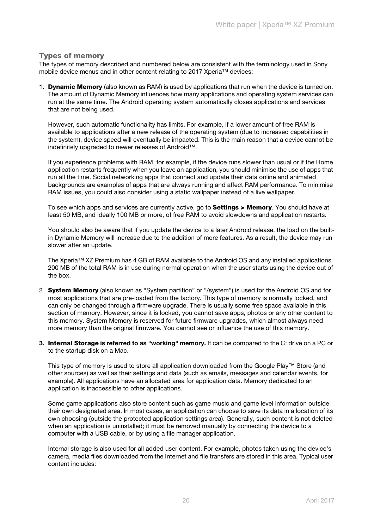#### Types of memory

The types of memory described and numbered below are consistent with the terminology used in Sony mobile device menus and in other content relating to 2017 Xperia™ devices:

1. **Dynamic Memory** (also known as RAM) is used by applications that run when the device is turned on. The amount of Dynamic Memory influences how many applications and operating system services can run at the same time. The Android operating system automatically closes applications and services that are not being used.

However, such automatic functionality has limits. For example, if a lower amount of free RAM is available to applications after a new release of the operating system (due to increased capabilities in the system), device speed will eventually be impacted. This is the main reason that a device cannot be indefinitely upgraded to newer releases of Android™.

If you experience problems with RAM, for example, if the device runs slower than usual or if the Home application restarts frequently when you leave an application, you should minimise the use of apps that run all the time. Social networking apps that connect and update their data online and animated backgrounds are examples of apps that are always running and affect RAM performance. To minimise RAM issues, you could also consider using a static wallpaper instead of a live wallpaper.

To see which apps and services are currently active, go to **Settings > Memory**. You should have at least 50 MB, and ideally 100 MB or more, of free RAM to avoid slowdowns and application restarts.

You should also be aware that if you update the device to a later Android release, the load on the builtin Dynamic Memory will increase due to the addition of more features. As a result, the device may run slower after an update.

The Xperia™ XZ Premium has 4 GB of RAM available to the Android OS and any installed applications. 200 MB of the total RAM is in use during normal operation when the user starts using the device out of the box.

- 2. System Memory (also known as "System partition" or "/system") is used for the Android OS and for most applications that are pre-loaded from the factory. This type of memory is normally locked, and can only be changed through a firmware upgrade. There is usually some free space available in this section of memory. However, since it is locked, you cannot save apps, photos or any other content to this memory. System Memory is reserved for future firmware upgrades, which almost always need more memory than the original firmware. You cannot see or influence the use of this memory.
- 3. Internal Storage is referred to as "working" memory. It can be compared to the C: drive on a PC or to the startup disk on a Mac.

This type of memory is used to store all application downloaded from the Google Play™ Store (and other sources) as well as their settings and data (such as emails, messages and calendar events, for example). All applications have an allocated area for application data. Memory dedicated to an application is inaccessible to other applications.

Some game applications also store content such as game music and game level information outside their own designated area. In most cases, an application can choose to save its data in a location of its own choosing (outside the protected application settings area). Generally, such content is not deleted when an application is uninstalled; it must be removed manually by connecting the device to a computer with a USB cable, or by using a file manager application.

Internal storage is also used for all added user content. For example, photos taken using the device's camera, media files downloaded from the Internet and file transfers are stored in this area. Typical user content includes: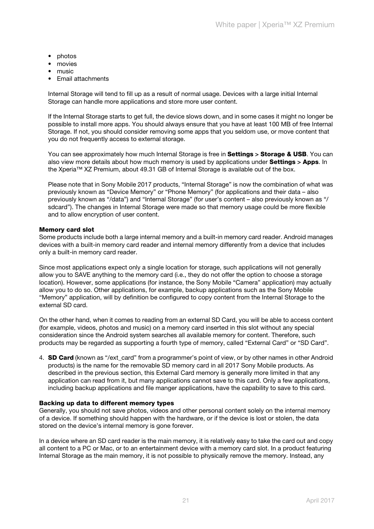- photos
- movies
- music
- Email attachments

Internal Storage will tend to fill up as a result of normal usage. Devices with a large initial Internal Storage can handle more applications and store more user content.

If the Internal Storage starts to get full, the device slows down, and in some cases it might no longer be possible to install more apps. You should always ensure that you have at least 100 MB of free Internal Storage. If not, you should consider removing some apps that you seldom use, or move content that you do not frequently access to external storage.

You can see approximately how much Internal Storage is free in Settings > Storage & USB. You can also view more details about how much memory is used by applications under Settings > Apps. In the Xperia™ XZ Premium, about 49.31 GB of Internal Storage is available out of the box.

Please note that in Sony Mobile 2017 products, "Internal Storage" is now the combination of what was previously known as "Device Memory" or "Phone Memory" (for applications and their data – also previously known as "/data") and "Internal Storage" (for user's content – also previously known as "/ sdcard"). The changes in Internal Storage were made so that memory usage could be more flexible and to allow encryption of user content.

#### Memory card slot

Some products include both a large internal memory and a built-in memory card reader. Android manages devices with a built-in memory card reader and internal memory differently from a device that includes only a built-in memory card reader.

Since most applications expect only a single location for storage, such applications will not generally allow you to SAVE anything to the memory card (i.e., they do not offer the option to choose a storage location). However, some applications (for instance, the Sony Mobile "Camera" application) may actually allow you to do so. Other applications, for example, backup applications such as the Sony Mobile "Memory" application, will by definition be configured to copy content from the Internal Storage to the external SD card.

On the other hand, when it comes to reading from an external SD Card, you will be able to access content (for example, videos, photos and music) on a memory card inserted in this slot without any special consideration since the Android system searches all available memory for content. Therefore, such products may be regarded as supporting a fourth type of memory, called "External Card" or "SD Card".

4. **SD Card** (known as "/ext card" from a programmer's point of view, or by other names in other Android products) is the name for the removable SD memory card in all 2017 Sony Mobile products. As described in the previous section, this External Card memory is generally more limited in that any application can read from it, but many applications cannot save to this card. Only a few applications, including backup applications and file manger applications, have the capability to save to this card.

#### Backing up data to different memory types

Generally, you should not save photos, videos and other personal content solely on the internal memory of a device. If something should happen with the hardware, or if the device is lost or stolen, the data stored on the device's internal memory is gone forever.

In a device where an SD card reader is the main memory, it is relatively easy to take the card out and copy all content to a PC or Mac, or to an entertainment device with a memory card slot. In a product featuring Internal Storage as the main memory, it is not possible to physically remove the memory. Instead, any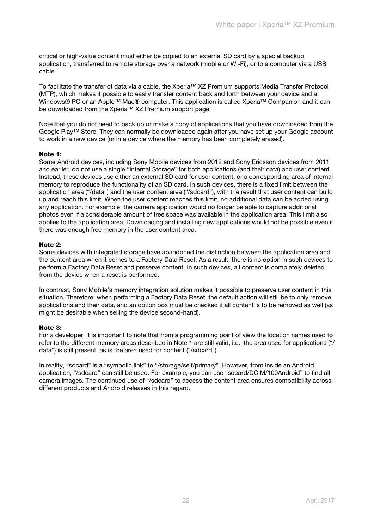critical or high-value content must either be copied to an external SD card by a special backup application, transferred to remote storage over a network (mobile or Wi-Fi), or to a computer via a USB cable.

To facilitate the transfer of data via a cable, the Xperia™ XZ Premium supports Media Transfer Protocol (MTP), which makes it possible to easily transfer content back and forth between your device and a Windows® PC or an Apple™ Mac® computer. This application is called Xperia™ Companion and it can be downloaded from the Xperia™ XZ Premium support page.

Note that you do not need to back up or make a copy of applications that you have downloaded from the Google Play™ Store. They can normally be downloaded again after you have set up your Google account to work in a new device (or in a device where the memory has been completely erased).

#### Note 1:

Some Android devices, including Sony Mobile devices from 2012 and Sony Ericsson devices from 2011 and earlier, do not use a single "Internal Storage" for both applications (and their data) and user content. Instead, these devices use either an external SD card for user content, or a corresponding area of internal memory to reproduce the functionality of an SD card. In such devices, there is a fixed limit between the application area ("/data") and the user content area ("/sdcard"), with the result that user content can build up and reach this limit. When the user content reaches this limit, no additional data can be added using any application. For example, the camera application would no longer be able to capture additional photos even if a considerable amount of free space was available in the application area. This limit also applies to the application area. Downloading and installing new applications would not be possible even if there was enough free memory in the user content area.

#### Note 2:

Some devices with integrated storage have abandoned the distinction between the application area and the content area when it comes to a Factory Data Reset. As a result, there is no option in such devices to perform a Factory Data Reset and preserve content. In such devices, all content is completely deleted from the device when a reset is performed.

In contrast, Sony Mobile's memory integration solution makes it possible to preserve user content in this situation. Therefore, when performing a Factory Data Reset, the default action will still be to only remove applications and their data, and an option box must be checked if all content is to be removed as well (as might be desirable when selling the device second-hand).

#### Note 3:

For a developer, it is important to note that from a programming point of view the location names used to refer to the different memory areas described in Note 1 are still valid, i.e., the area used for applications ("/ data") is still present, as is the area used for content ("/sdcard").

In reality, "sdcard" is a "symbolic link" to "/storage/self/primary". However, from inside an Android application, "/sdcard" can still be used. For example, you can use "sdcard/DCIM/100Android" to find all camera images. The continued use of "/sdcard" to access the content area ensures compatibility across different products and Android releases in this regard.